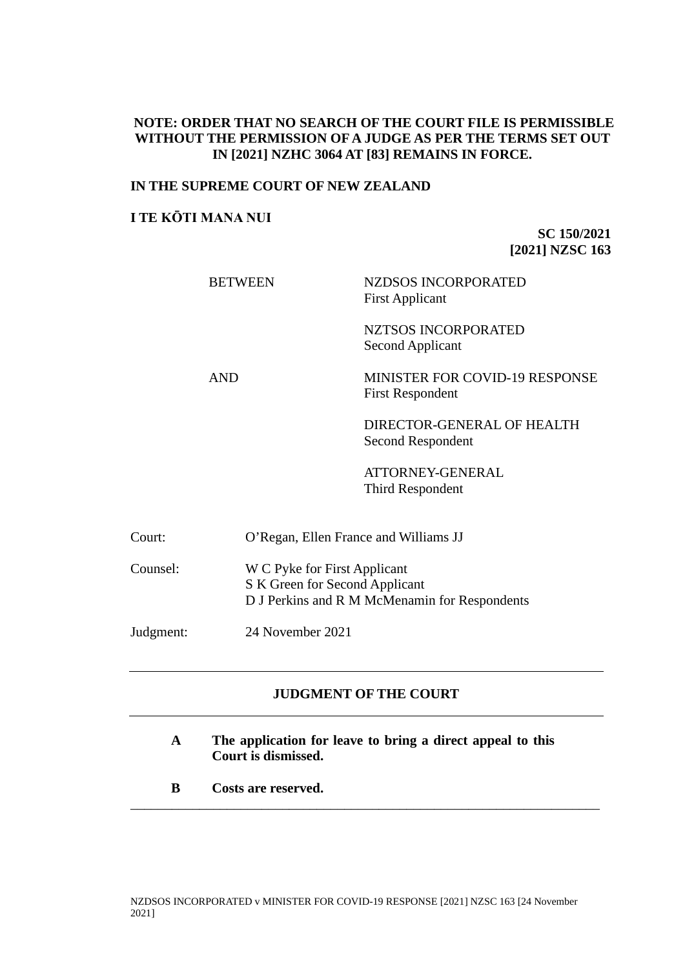## **NOTE: ORDER THAT NO SEARCH OF THE COURT FILE IS PERMISSIBLE WITHOUT THE PERMISSION OF A JUDGE AS PER THE TERMS SET OUT IN [2021] NZHC 3064 AT [83] REMAINS IN FORCE.**

#### **IN THE SUPREME COURT OF NEW ZEALAND**

### **I TE KŌTI MANA NUI**

**SC 150/2021 [2021] NZSC 163**

|           | <b>BETWEEN</b>   | NZDSOS INCORPORATED<br><b>First Applicant</b>                                                                   |  |
|-----------|------------------|-----------------------------------------------------------------------------------------------------------------|--|
|           |                  | <b>NZTSOS INCORPORATED</b><br><b>Second Applicant</b>                                                           |  |
|           | <b>AND</b>       | <b>MINISTER FOR COVID-19 RESPONSE</b><br><b>First Respondent</b>                                                |  |
|           |                  | DIRECTOR-GENERAL OF HEALTH<br>Second Respondent                                                                 |  |
|           |                  | ATTORNEY-GENERAL<br>Third Respondent                                                                            |  |
| Court:    |                  | O'Regan, Ellen France and Williams JJ                                                                           |  |
| Counsel:  |                  | W C Pyke for First Applicant<br>S K Green for Second Applicant<br>D J Perkins and R M McMenamin for Respondents |  |
| Judgment: | 24 November 2021 |                                                                                                                 |  |

# **JUDGMENT OF THE COURT**

**A The application for leave to bring a direct appeal to this Court is dismissed.**

\_\_\_\_\_\_\_\_\_\_\_\_\_\_\_\_\_\_\_\_\_\_\_\_\_\_\_\_\_\_\_\_\_\_\_\_\_\_\_\_\_\_\_\_\_\_\_\_\_\_\_\_\_\_\_\_\_\_\_\_\_\_\_\_\_\_\_\_

**B Costs are reserved.**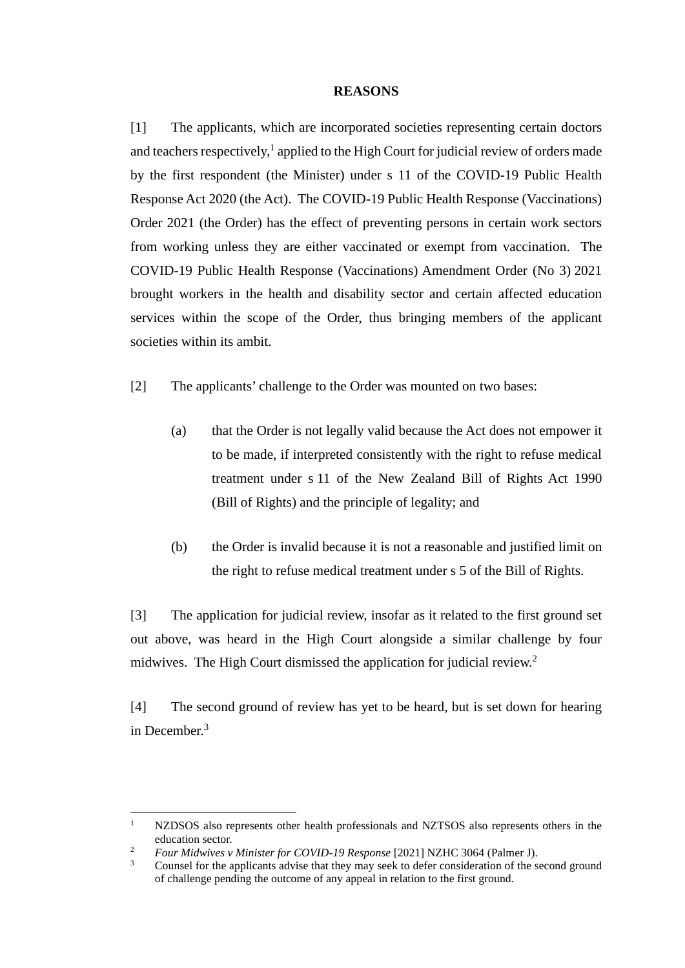#### **REASONS**

[1] The applicants, which are incorporated societies representing certain doctors and teachers respectively, $<sup>1</sup>$  applied to the High Court for judicial review of orders made</sup> by the first respondent (the Minister) under s 11 of the COVID-19 Public Health Response Act 2020 (the Act). The COVID-19 Public Health Response (Vaccinations) Order 2021 (the Order) has the effect of preventing persons in certain work sectors from working unless they are either vaccinated or exempt from vaccination. The COVID-19 Public Health Response (Vaccinations) Amendment Order (No 3) 2021 brought workers in the health and disability sector and certain affected education services within the scope of the Order, thus bringing members of the applicant societies within its ambit.

[2] The applicants' challenge to the Order was mounted on two bases:

- (a) that the Order is not legally valid because the Act does not empower it to be made, if interpreted consistently with the right to refuse medical treatment under s 11 of the New Zealand Bill of Rights Act 1990 (Bill of Rights) and the principle of legality; and
- (b) the Order is invalid because it is not a reasonable and justified limit on the right to refuse medical treatment under s 5 of the Bill of Rights.

[3] The application for judicial review, insofar as it related to the first ground set out above, was heard in the High Court alongside a similar challenge by four midwives. The High Court dismissed the application for judicial review.<sup>2</sup>

[4] The second ground of review has yet to be heard, but is set down for hearing in December. $3$ 

<sup>&</sup>lt;sup>1</sup> NZDSOS also represents other health professionals and NZTSOS also represents others in the education sector.

<sup>&</sup>lt;sup>2</sup> *Four Midwives v Minister for COVID-19 Response* [2021] NZHC 3064 (Palmer J).

<sup>3</sup> Counsel for the applicants advise that they may seek to defer consideration of the second ground of challenge pending the outcome of any appeal in relation to the first ground.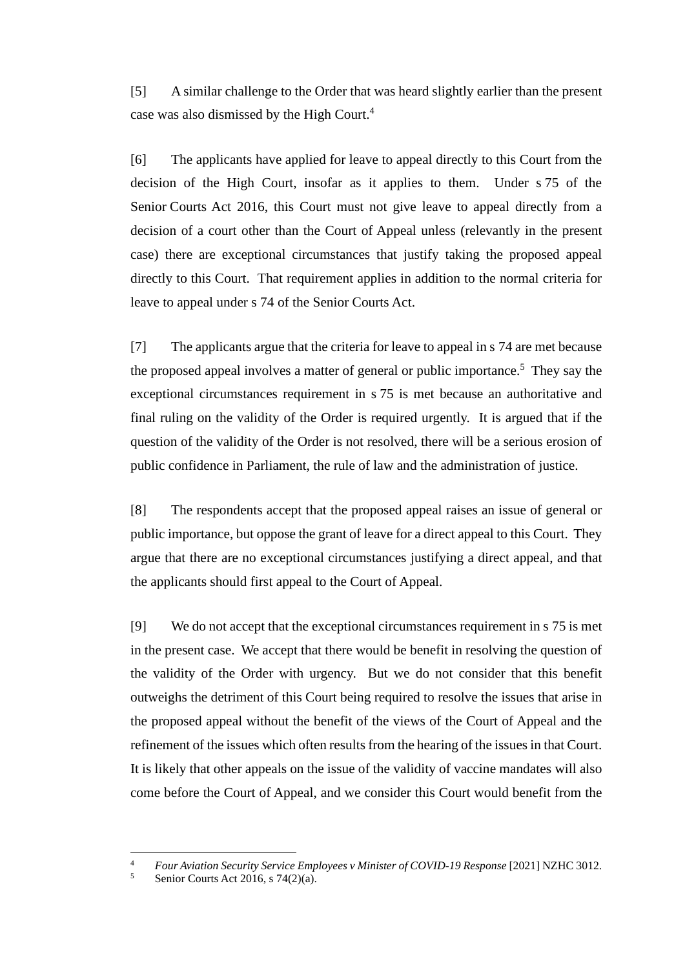[5] A similar challenge to the Order that was heard slightly earlier than the present case was also dismissed by the High Court.4

[6] The applicants have applied for leave to appeal directly to this Court from the decision of the High Court, insofar as it applies to them. Under s 75 of the Senior Courts Act 2016, this Court must not give leave to appeal directly from a decision of a court other than the Court of Appeal unless (relevantly in the present case) there are exceptional circumstances that justify taking the proposed appeal directly to this Court. That requirement applies in addition to the normal criteria for leave to appeal under s 74 of the Senior Courts Act.

[7] The applicants argue that the criteria for leave to appeal in s 74 are met because the proposed appeal involves a matter of general or public importance.<sup>5</sup> They say the exceptional circumstances requirement in s 75 is met because an authoritative and final ruling on the validity of the Order is required urgently. It is argued that if the question of the validity of the Order is not resolved, there will be a serious erosion of public confidence in Parliament, the rule of law and the administration of justice.

[8] The respondents accept that the proposed appeal raises an issue of general or public importance, but oppose the grant of leave for a direct appeal to this Court. They argue that there are no exceptional circumstances justifying a direct appeal, and that the applicants should first appeal to the Court of Appeal.

[9] We do not accept that the exceptional circumstances requirement in s 75 is met in the present case. We accept that there would be benefit in resolving the question of the validity of the Order with urgency. But we do not consider that this benefit outweighs the detriment of this Court being required to resolve the issues that arise in the proposed appeal without the benefit of the views of the Court of Appeal and the refinement of the issues which often results from the hearing of the issues in that Court. It is likely that other appeals on the issue of the validity of vaccine mandates will also come before the Court of Appeal, and we consider this Court would benefit from the

<sup>&</sup>lt;sup>4</sup> *Four Aviation Security Service Employees v Minister of COVID-19 Response* [2021] NZHC 3012.

Senior Courts Act 2016, s  $74(2)(a)$ .